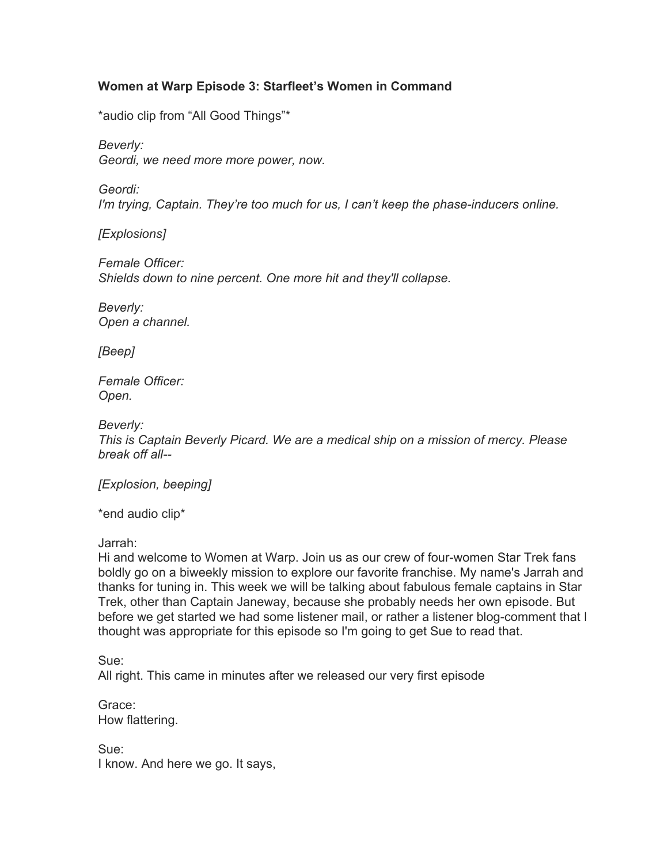# **Women at Warp Episode 3: Starfleet's Women in Command**

\*audio clip from "All Good Things"\*

*Beverly:*

*Geordi, we need more more power, now.*

*Geordi:*

*I'm trying, Captain. They're too much for us, I can't keep the phase-inducers online.*

*[Explosions]*

*Female Officer: Shields down to nine percent. One more hit and they'll collapse.*

*Beverly: Open a channel.*

*[Beep]*

*Female Officer: Open.*

*Beverly:*

*This is Captain Beverly Picard. We are a medical ship on a mission of mercy. Please break off all--*

*[Explosion, beeping]*

\*end audio clip\*

Jarrah:

Hi and welcome to Women at Warp. Join us as our crew of four-women Star Trek fans boldly go on a biweekly mission to explore our favorite franchise. My name's Jarrah and thanks for tuning in. This week we will be talking about fabulous female captains in Star Trek, other than Captain Janeway, because she probably needs her own episode. But before we get started we had some listener mail, or rather a listener blog-comment that I thought was appropriate for this episode so I'm going to get Sue to read that.

Sue:

All right. This came in minutes after we released our very first episode

Grace: How flattering.

Sue: I know. And here we go. It says,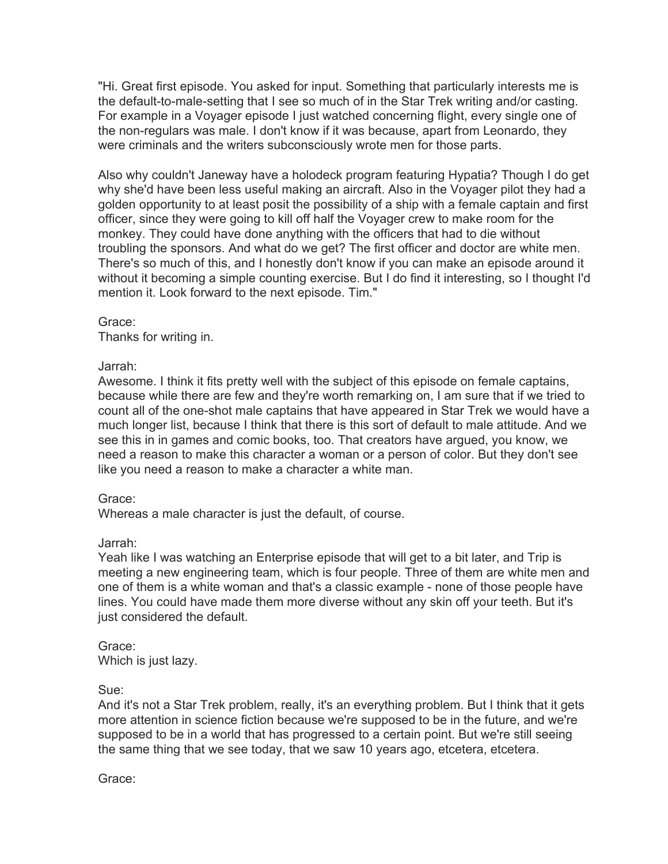"Hi. Great first episode. You asked for input. Something that particularly interests me is the default-to-male-setting that I see so much of in the Star Trek writing and/or casting. For example in a Voyager episode I just watched concerning flight, every single one of the non-regulars was male. I don't know if it was because, apart from Leonardo, they were criminals and the writers subconsciously wrote men for those parts.

Also why couldn't Janeway have a holodeck program featuring Hypatia? Though I do get why she'd have been less useful making an aircraft. Also in the Voyager pilot they had a golden opportunity to at least posit the possibility of a ship with a female captain and first officer, since they were going to kill off half the Voyager crew to make room for the monkey. They could have done anything with the officers that had to die without troubling the sponsors. And what do we get? The first officer and doctor are white men. There's so much of this, and I honestly don't know if you can make an episode around it without it becoming a simple counting exercise. But I do find it interesting, so I thought I'd mention it. Look forward to the next episode. Tim."

Grace:

Thanks for writing in.

### Jarrah:

Awesome. I think it fits pretty well with the subject of this episode on female captains, because while there are few and they're worth remarking on, I am sure that if we tried to count all of the one-shot male captains that have appeared in Star Trek we would have a much longer list, because I think that there is this sort of default to male attitude. And we see this in in games and comic books, too. That creators have argued, you know, we need a reason to make this character a woman or a person of color. But they don't see like you need a reason to make a character a white man.

# Grace:

Whereas a male character is just the default, of course.

# Jarrah:

Yeah like I was watching an Enterprise episode that will get to a bit later, and Trip is meeting a new engineering team, which is four people. Three of them are white men and one of them is a white woman and that's a classic example - none of those people have lines. You could have made them more diverse without any skin off your teeth. But it's just considered the default.

Grace: Which is just lazy.

Sue:

And it's not a Star Trek problem, really, it's an everything problem. But I think that it gets more attention in science fiction because we're supposed to be in the future, and we're supposed to be in a world that has progressed to a certain point. But we're still seeing the same thing that we see today, that we saw 10 years ago, etcetera, etcetera.

Grace: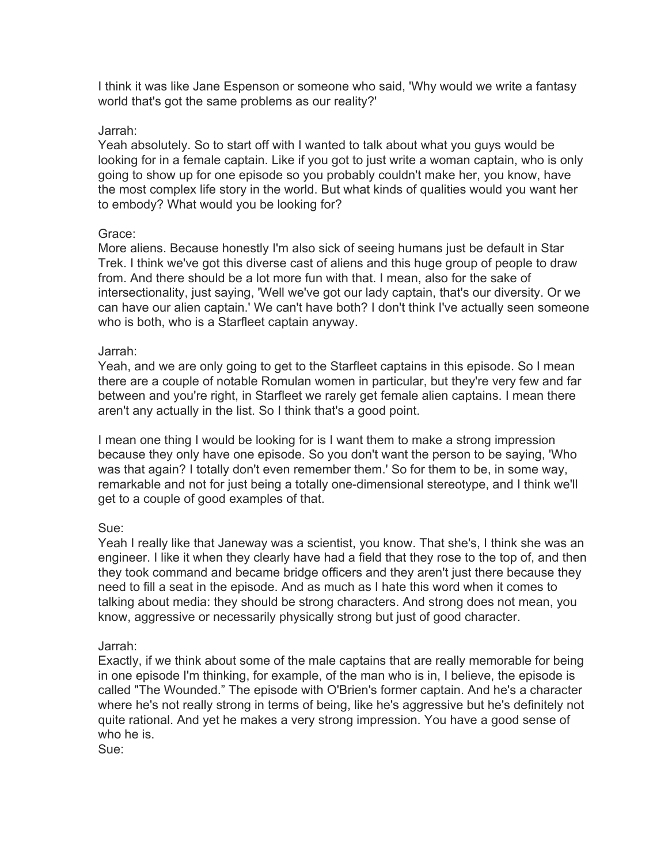I think it was like Jane Espenson or someone who said, 'Why would we write a fantasy world that's got the same problems as our reality?'

#### Jarrah:

Yeah absolutely. So to start off with I wanted to talk about what you guys would be looking for in a female captain. Like if you got to just write a woman captain, who is only going to show up for one episode so you probably couldn't make her, you know, have the most complex life story in the world. But what kinds of qualities would you want her to embody? What would you be looking for?

### Grace:

More aliens. Because honestly I'm also sick of seeing humans just be default in Star Trek. I think we've got this diverse cast of aliens and this huge group of people to draw from. And there should be a lot more fun with that. I mean, also for the sake of intersectionality, just saying, 'Well we've got our lady captain, that's our diversity. Or we can have our alien captain.' We can't have both? I don't think I've actually seen someone who is both, who is a Starfleet captain anyway.

#### Jarrah:

Yeah, and we are only going to get to the Starfleet captains in this episode. So I mean there are a couple of notable Romulan women in particular, but they're very few and far between and you're right, in Starfleet we rarely get female alien captains. I mean there aren't any actually in the list. So I think that's a good point.

I mean one thing I would be looking for is I want them to make a strong impression because they only have one episode. So you don't want the person to be saying, 'Who was that again? I totally don't even remember them.' So for them to be, in some way, remarkable and not for just being a totally one-dimensional stereotype, and I think we'll get to a couple of good examples of that.

#### Sue:

Yeah I really like that Janeway was a scientist, you know. That she's, I think she was an engineer. I like it when they clearly have had a field that they rose to the top of, and then they took command and became bridge officers and they aren't just there because they need to fill a seat in the episode. And as much as I hate this word when it comes to talking about media: they should be strong characters. And strong does not mean, you know, aggressive or necessarily physically strong but just of good character.

#### Jarrah:

Exactly, if we think about some of the male captains that are really memorable for being in one episode I'm thinking, for example, of the man who is in, I believe, the episode is called "The Wounded." The episode with O'Brien's former captain. And he's a character where he's not really strong in terms of being, like he's aggressive but he's definitely not quite rational. And yet he makes a very strong impression. You have a good sense of who he is.

Sue: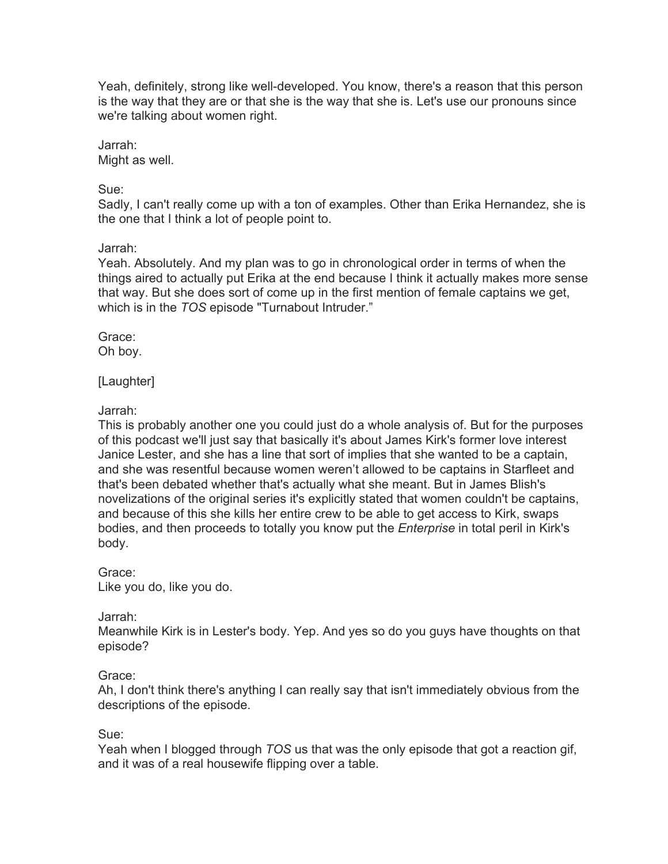Yeah, definitely, strong like well-developed. You know, there's a reason that this person is the way that they are or that she is the way that she is. Let's use our pronouns since we're talking about women right.

Jarrah: Might as well.

Sue:

Sadly, I can't really come up with a ton of examples. Other than Erika Hernandez, she is the one that I think a lot of people point to.

### Jarrah:

Yeah. Absolutely. And my plan was to go in chronological order in terms of when the things aired to actually put Erika at the end because I think it actually makes more sense that way. But she does sort of come up in the first mention of female captains we get, which is in the *TOS* episode "Turnabout Intruder."

Grace: Oh boy.

[Laughter]

# Jarrah:

This is probably another one you could just do a whole analysis of. But for the purposes of this podcast we'll just say that basically it's about James Kirk's former love interest Janice Lester, and she has a line that sort of implies that she wanted to be a captain, and she was resentful because women weren't allowed to be captains in Starfleet and that's been debated whether that's actually what she meant. But in James Blish's novelizations of the original series it's explicitly stated that women couldn't be captains, and because of this she kills her entire crew to be able to get access to Kirk, swaps bodies, and then proceeds to totally you know put the *Enterprise* in total peril in Kirk's body.

# Grace:

Like you do, like you do.

# Jarrah:

Meanwhile Kirk is in Lester's body. Yep. And yes so do you guys have thoughts on that episode?

# Grace:

Ah, I don't think there's anything I can really say that isn't immediately obvious from the descriptions of the episode.

# Sue:

Yeah when I blogged through *TOS* us that was the only episode that got a reaction gif, and it was of a real housewife flipping over a table.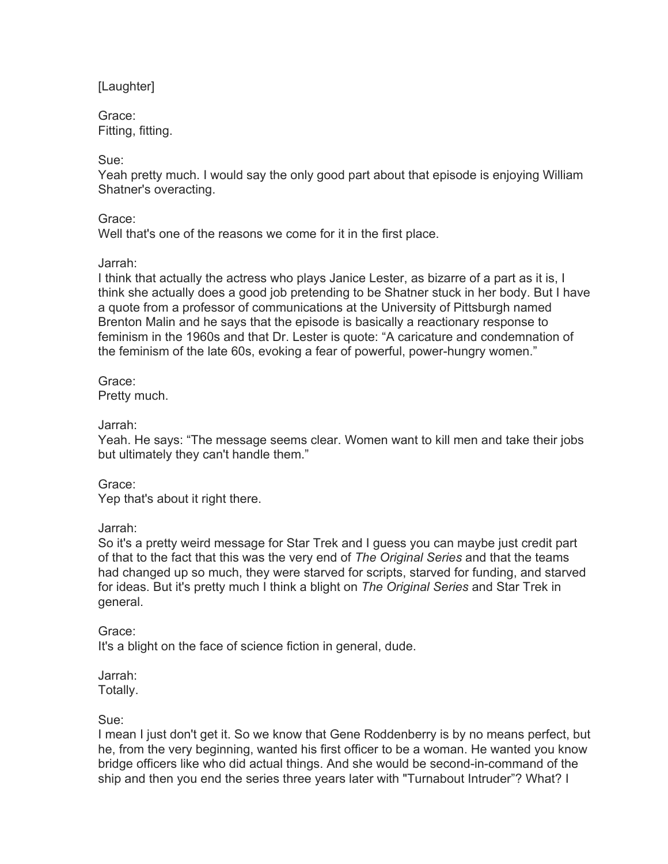[Laughter]

Grace: Fitting, fitting.

Sue:

Yeah pretty much. I would say the only good part about that episode is enjoying William Shatner's overacting.

Grace:

Well that's one of the reasons we come for it in the first place.

### Jarrah:

I think that actually the actress who plays Janice Lester, as bizarre of a part as it is, I think she actually does a good job pretending to be Shatner stuck in her body. But I have a quote from a professor of communications at the University of Pittsburgh named Brenton Malin and he says that the episode is basically a reactionary response to feminism in the 1960s and that Dr. Lester is quote: "A caricature and condemnation of the feminism of the late 60s, evoking a fear of powerful, power-hungry women."

Grace: Pretty much.

Jarrah:

Yeah. He says: "The message seems clear. Women want to kill men and take their jobs but ultimately they can't handle them."

Grace:

Yep that's about it right there.

Jarrah:

So it's a pretty weird message for Star Trek and I guess you can maybe just credit part of that to the fact that this was the very end of *The Original Series* and that the teams had changed up so much, they were starved for scripts, starved for funding, and starved for ideas. But it's pretty much I think a blight on *The Original Series* and Star Trek in general.

Grace:

It's a blight on the face of science fiction in general, dude.

Jarrah: Totally.

Sue:

I mean I just don't get it. So we know that Gene Roddenberry is by no means perfect, but he, from the very beginning, wanted his first officer to be a woman. He wanted you know bridge officers like who did actual things. And she would be second-in-command of the ship and then you end the series three years later with "Turnabout Intruder"? What? I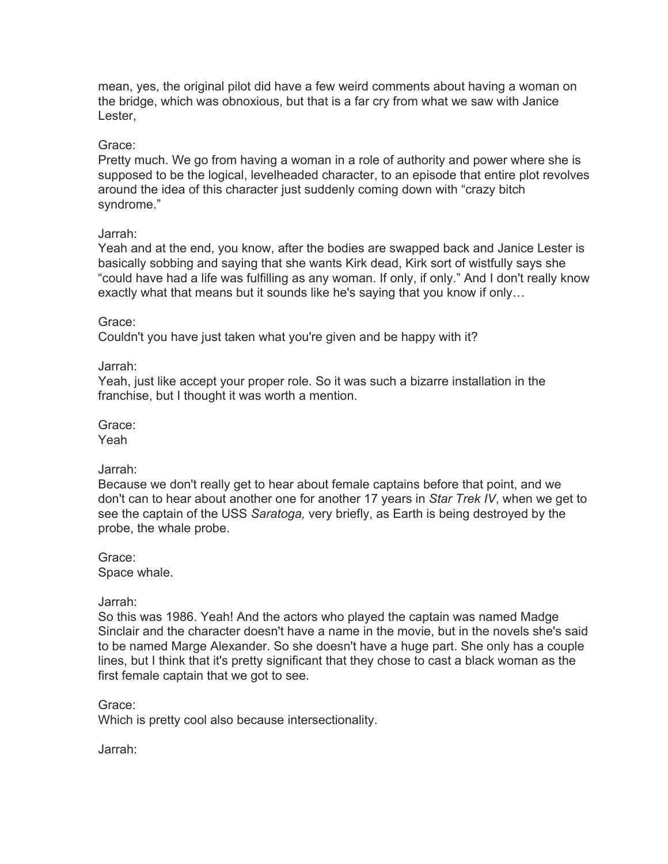mean, yes, the original pilot did have a few weird comments about having a woman on the bridge, which was obnoxious, but that is a far cry from what we saw with Janice Lester,

#### Grace:

Pretty much. We go from having a woman in a role of authority and power where she is supposed to be the logical, levelheaded character, to an episode that entire plot revolves around the idea of this character just suddenly coming down with "crazy bitch syndrome."

# Jarrah:

Yeah and at the end, you know, after the bodies are swapped back and Janice Lester is basically sobbing and saying that she wants Kirk dead, Kirk sort of wistfully says she "could have had a life was fulfilling as any woman. If only, if only." And I don't really know exactly what that means but it sounds like he's saying that you know if only…

### Grace:

Couldn't you have just taken what you're given and be happy with it?

Jarrah:

Yeah, just like accept your proper role. So it was such a bizarre installation in the franchise, but I thought it was worth a mention.

Grace:

Yeah

#### Jarrah:

Because we don't really get to hear about female captains before that point, and we don't can to hear about another one for another 17 years in *Star Trek IV*, when we get to see the captain of the USS *Saratoga,* very briefly, as Earth is being destroyed by the probe, the whale probe.

Grace: Space whale.

#### Jarrah:

So this was 1986. Yeah! And the actors who played the captain was named Madge Sinclair and the character doesn't have a name in the movie, but in the novels she's said to be named Marge Alexander. So she doesn't have a huge part. She only has a couple lines, but I think that it's pretty significant that they chose to cast a black woman as the first female captain that we got to see.

Grace:

Which is pretty cool also because intersectionality.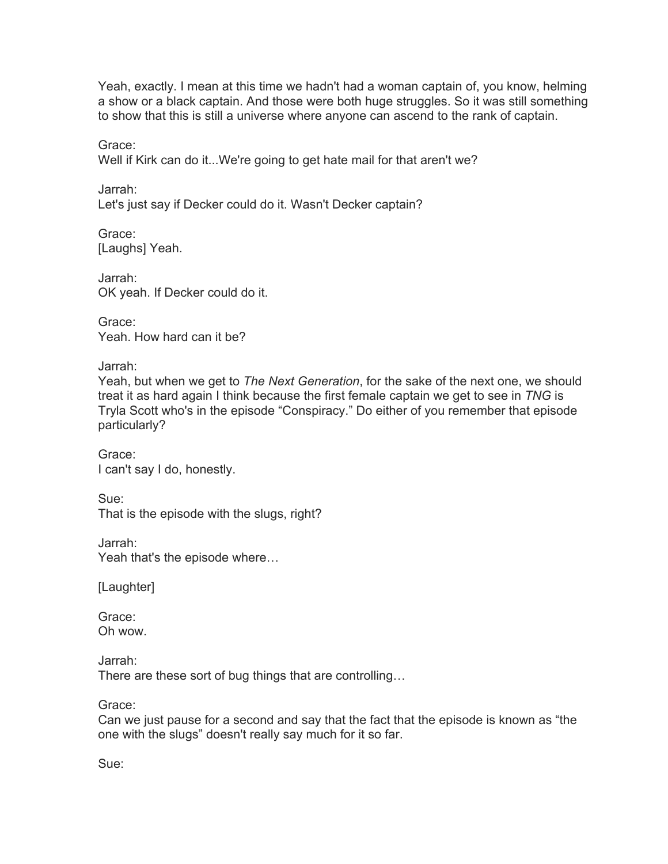Yeah, exactly. I mean at this time we hadn't had a woman captain of, you know, helming a show or a black captain. And those were both huge struggles. So it was still something to show that this is still a universe where anyone can ascend to the rank of captain.

Grace:

Well if Kirk can do it...We're going to get hate mail for that aren't we?

Jarrah: Let's just say if Decker could do it. Wasn't Decker captain?

Grace: [Laughs] Yeah.

Jarrah: OK yeah. If Decker could do it.

Grace: Yeah. How hard can it be?

Jarrah:

Yeah, but when we get to *The Next Generation*, for the sake of the next one, we should treat it as hard again I think because the first female captain we get to see in *TNG* is Tryla Scott who's in the episode "Conspiracy." Do either of you remember that episode particularly?

Grace: I can't say I do, honestly.

Sue: That is the episode with the slugs, right?

Jarrah: Yeah that's the episode where…

[Laughter]

Grace: Oh wow.

Jarrah: There are these sort of bug things that are controlling…

Grace:

Can we just pause for a second and say that the fact that the episode is known as "the one with the slugs" doesn't really say much for it so far.

Sue: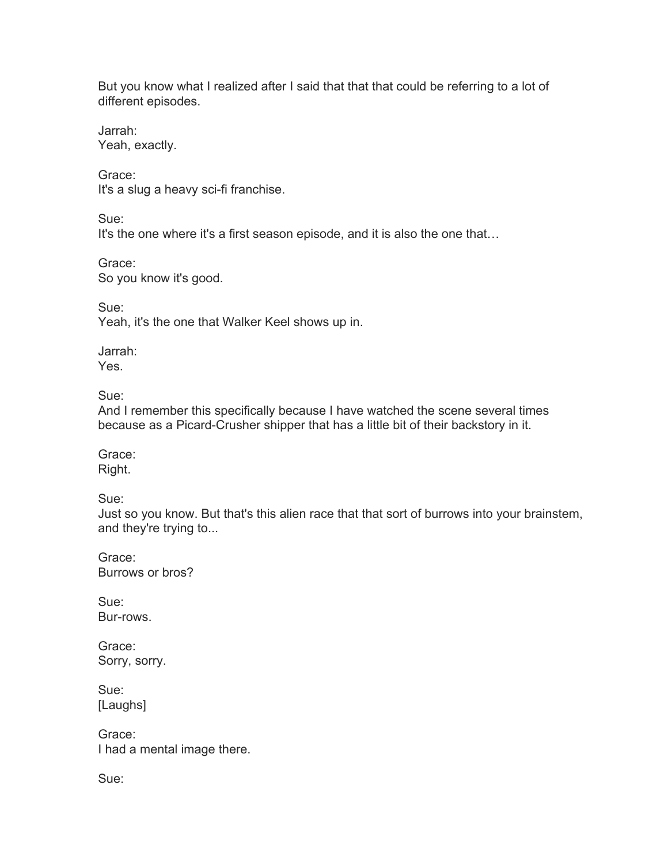But you know what I realized after I said that that that could be referring to a lot of different episodes.

Jarrah: Yeah, exactly.

Grace: It's a slug a heavy sci-fi franchise.

Sue:

It's the one where it's a first season episode, and it is also the one that...

Grace: So you know it's good.

Sue: Yeah, it's the one that Walker Keel shows up in.

Jarrah: Yes.

Sue:

And I remember this specifically because I have watched the scene several times because as a Picard-Crusher shipper that has a little bit of their backstory in it.

Grace: Right.

Sue:

Just so you know. But that's this alien race that that sort of burrows into your brainstem, and they're trying to...

Grace: Burrows or bros?

Sue: Bur-rows.

Grace: Sorry, sorry.

Sue: [Laughs]

Grace: I had a mental image there.

Sue: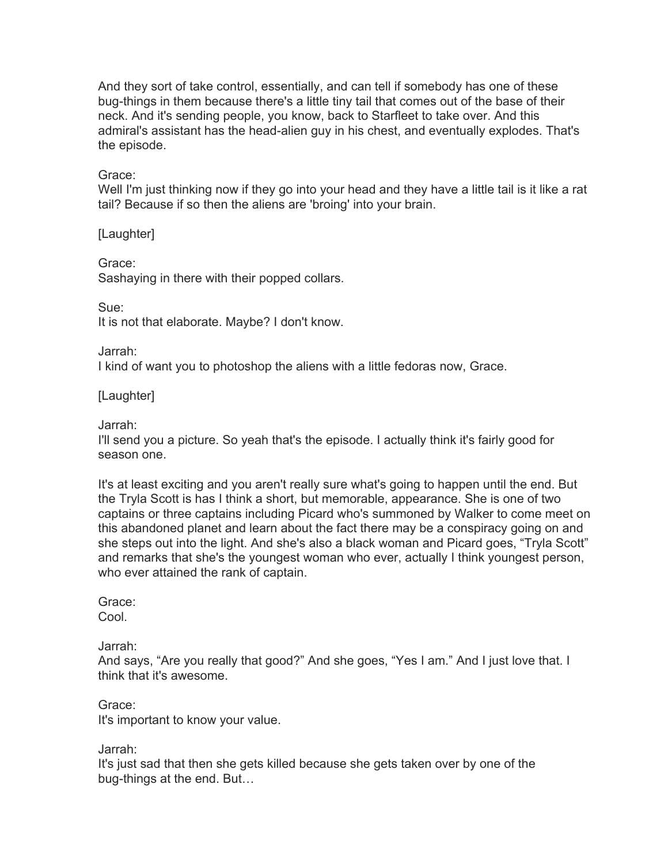And they sort of take control, essentially, and can tell if somebody has one of these bug-things in them because there's a little tiny tail that comes out of the base of their neck. And it's sending people, you know, back to Starfleet to take over. And this admiral's assistant has the head-alien guy in his chest, and eventually explodes. That's the episode.

#### Grace:

Well I'm just thinking now if they go into your head and they have a little tail is it like a rat tail? Because if so then the aliens are 'broing' into your brain.

[Laughter]

Grace:

Sashaying in there with their popped collars.

Sue:

It is not that elaborate. Maybe? I don't know.

Jarrah:

I kind of want you to photoshop the aliens with a little fedoras now, Grace.

[Laughter]

Jarrah:

I'll send you a picture. So yeah that's the episode. I actually think it's fairly good for season one.

It's at least exciting and you aren't really sure what's going to happen until the end. But the Tryla Scott is has I think a short, but memorable, appearance. She is one of two captains or three captains including Picard who's summoned by Walker to come meet on this abandoned planet and learn about the fact there may be a conspiracy going on and she steps out into the light. And she's also a black woman and Picard goes, "Tryla Scott" and remarks that she's the youngest woman who ever, actually I think youngest person, who ever attained the rank of captain.

Grace: Cool.

Jarrah:

And says, "Are you really that good?" And she goes, "Yes I am." And I just love that. I think that it's awesome.

Grace: It's important to know your value.

Jarrah:

It's just sad that then she gets killed because she gets taken over by one of the bug-things at the end. But…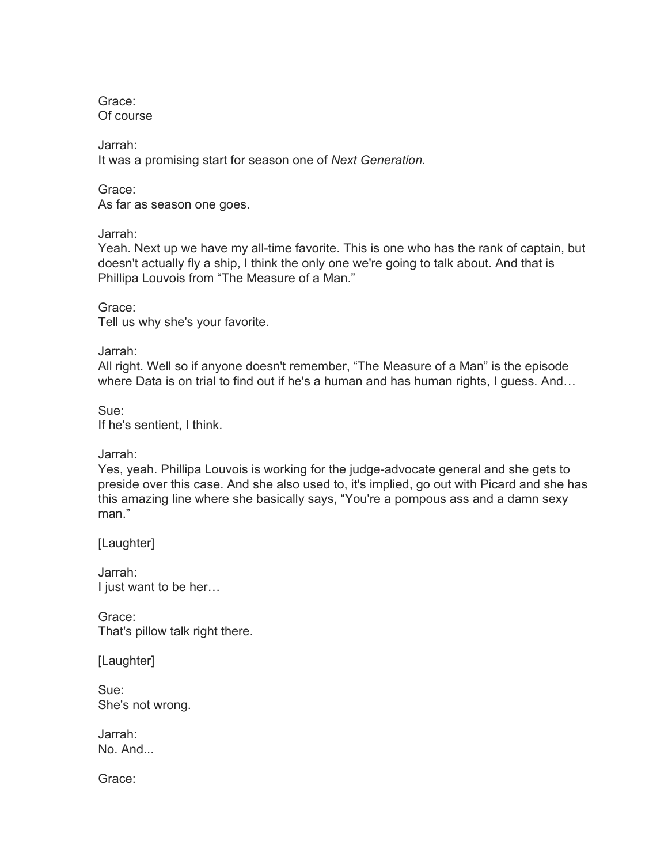Grace: Of course

Jarrah: It was a promising start for season one of *Next Generation.*

Grace: As far as season one goes.

Jarrah:

Yeah. Next up we have my all-time favorite. This is one who has the rank of captain, but doesn't actually fly a ship, I think the only one we're going to talk about. And that is Phillipa Louvois from "The Measure of a Man."

Grace: Tell us why she's your favorite.

Jarrah:

All right. Well so if anyone doesn't remember, "The Measure of a Man" is the episode where Data is on trial to find out if he's a human and has human rights, I guess. And…

Sue: If he's sentient, I think.

Jarrah:

Yes, yeah. Phillipa Louvois is working for the judge-advocate general and she gets to preside over this case. And she also used to, it's implied, go out with Picard and she has this amazing line where she basically says, "You're a pompous ass and a damn sexy man."

[Laughter]

Jarrah: I just want to be her…

Grace: That's pillow talk right there.

[Laughter]

Sue: She's not wrong.

Jarrah: No. And...

Grace: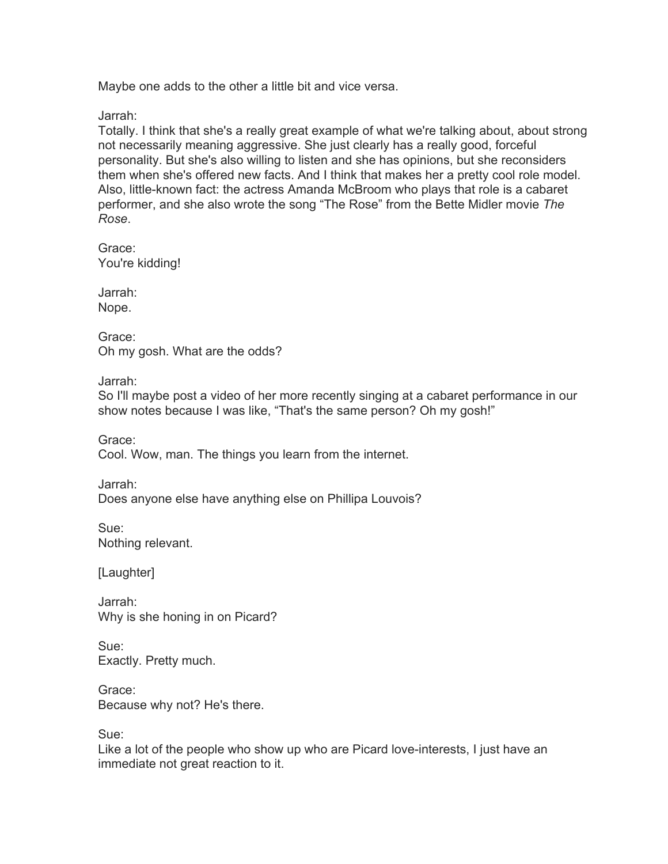Maybe one adds to the other a little bit and vice versa.

Jarrah:

Totally. I think that she's a really great example of what we're talking about, about strong not necessarily meaning aggressive. She just clearly has a really good, forceful personality. But she's also willing to listen and she has opinions, but she reconsiders them when she's offered new facts. And I think that makes her a pretty cool role model. Also, little-known fact: the actress Amanda McBroom who plays that role is a cabaret performer, and she also wrote the song "The Rose" from the Bette Midler movie *The Rose*.

Grace: You're kidding!

Jarrah: Nope.

Grace: Oh my gosh. What are the odds?

Jarrah:

So I'll maybe post a video of her more recently singing at a cabaret performance in our show notes because I was like, "That's the same person? Oh my gosh!"

Grace: Cool. Wow, man. The things you learn from the internet.

Jarrah:

Does anyone else have anything else on Phillipa Louvois?

Sue: Nothing relevant.

[Laughter]

Jarrah: Why is she honing in on Picard?

Sue: Exactly. Pretty much.

Grace: Because why not? He's there.

Sue:

Like a lot of the people who show up who are Picard love-interests, I just have an immediate not great reaction to it.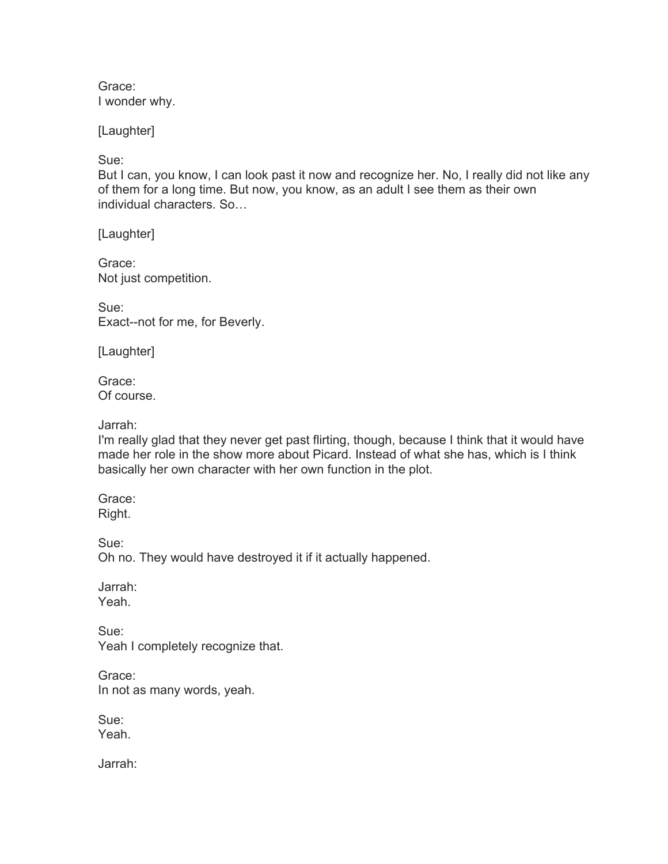Grace: I wonder why.

[Laughter]

Sue:

But I can, you know, I can look past it now and recognize her. No, I really did not like any of them for a long time. But now, you know, as an adult I see them as their own individual characters. So…

[Laughter]

Grace: Not just competition.

Sue: Exact--not for me, for Beverly.

[Laughter]

Grace: Of course.

Jarrah:

I'm really glad that they never get past flirting, though, because I think that it would have made her role in the show more about Picard. Instead of what she has, which is I think basically her own character with her own function in the plot.

Grace: Right.

Sue:

Oh no. They would have destroyed it if it actually happened.

Jarrah: Yeah.

Sue: Yeah I completely recognize that.

Grace: In not as many words, yeah.

Sue: Yeah.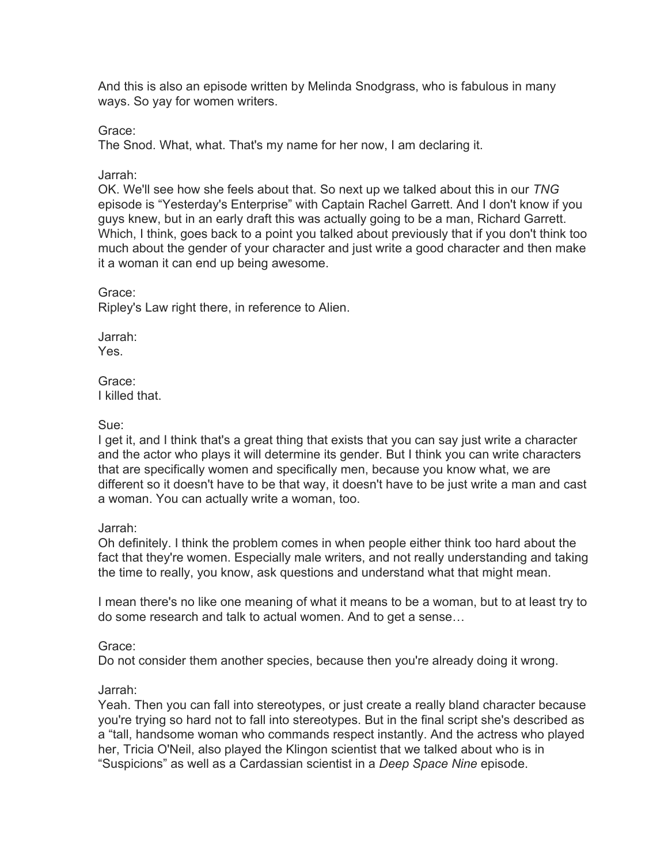And this is also an episode written by Melinda Snodgrass, who is fabulous in many ways. So yay for women writers.

Grace:

The Snod. What, what. That's my name for her now, I am declaring it.

Jarrah:

OK. We'll see how she feels about that. So next up we talked about this in our *TNG* episode is "Yesterday's Enterprise" with Captain Rachel Garrett. And I don't know if you guys knew, but in an early draft this was actually going to be a man, Richard Garrett. Which, I think, goes back to a point you talked about previously that if you don't think too much about the gender of your character and just write a good character and then make it a woman it can end up being awesome.

Grace:

Ripley's Law right there, in reference to Alien.

Jarrah: Yes.

Grace: I killed that.

Sue:

I get it, and I think that's a great thing that exists that you can say just write a character and the actor who plays it will determine its gender. But I think you can write characters that are specifically women and specifically men, because you know what, we are different so it doesn't have to be that way, it doesn't have to be just write a man and cast a woman. You can actually write a woman, too.

Jarrah:

Oh definitely. I think the problem comes in when people either think too hard about the fact that they're women. Especially male writers, and not really understanding and taking the time to really, you know, ask questions and understand what that might mean.

I mean there's no like one meaning of what it means to be a woman, but to at least try to do some research and talk to actual women. And to get a sense…

Grace:

Do not consider them another species, because then you're already doing it wrong.

Jarrah:

Yeah. Then you can fall into stereotypes, or just create a really bland character because you're trying so hard not to fall into stereotypes. But in the final script she's described as a "tall, handsome woman who commands respect instantly. And the actress who played her, Tricia O'Neil, also played the Klingon scientist that we talked about who is in "Suspicions" as well as a Cardassian scientist in a *Deep Space Nine* episode.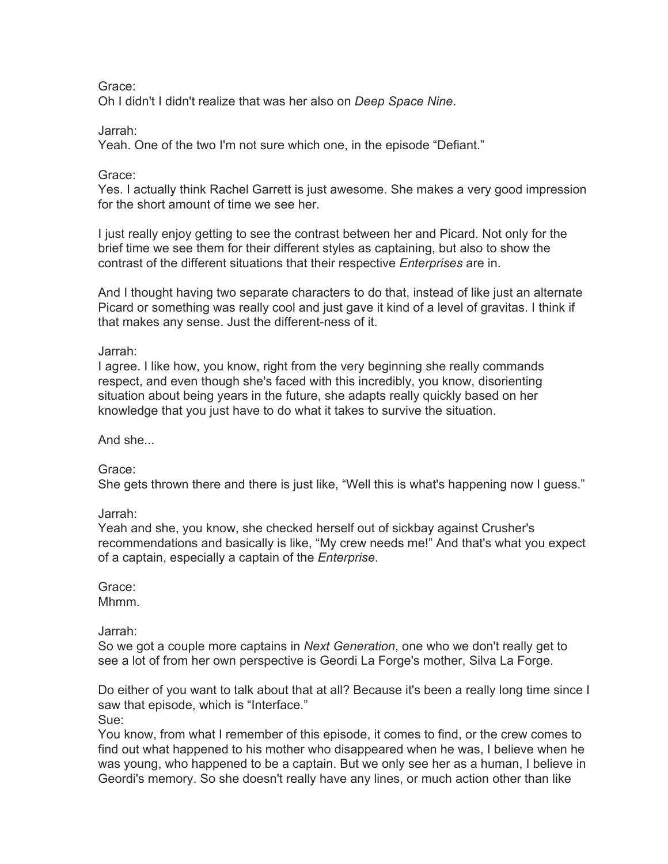Grace:

Oh I didn't I didn't realize that was her also on *Deep Space Nine*.

Jarrah:

Yeah. One of the two I'm not sure which one, in the episode "Defiant."

Grace:

Yes. I actually think Rachel Garrett is just awesome. She makes a very good impression for the short amount of time we see her.

I just really enjoy getting to see the contrast between her and Picard. Not only for the brief time we see them for their different styles as captaining, but also to show the contrast of the different situations that their respective *Enterprises* are in.

And I thought having two separate characters to do that, instead of like just an alternate Picard or something was really cool and just gave it kind of a level of gravitas. I think if that makes any sense. Just the different-ness of it.

Jarrah:

I agree. I like how, you know, right from the very beginning she really commands respect, and even though she's faced with this incredibly, you know, disorienting situation about being years in the future, she adapts really quickly based on her knowledge that you just have to do what it takes to survive the situation.

And she...

Grace:

She gets thrown there and there is just like, "Well this is what's happening now I guess."

Jarrah:

Yeah and she, you know, she checked herself out of sickbay against Crusher's recommendations and basically is like, "My crew needs me!" And that's what you expect of a captain, especially a captain of the *Enterprise*.

Grace: Mhmm.

Jarrah:

So we got a couple more captains in *Next Generation*, one who we don't really get to see a lot of from her own perspective is Geordi La Forge's mother, Silva La Forge.

Do either of you want to talk about that at all? Because it's been a really long time since I saw that episode, which is "Interface."

Sue:

You know, from what I remember of this episode, it comes to find, or the crew comes to find out what happened to his mother who disappeared when he was, I believe when he was young, who happened to be a captain. But we only see her as a human, I believe in Geordi's memory. So she doesn't really have any lines, or much action other than like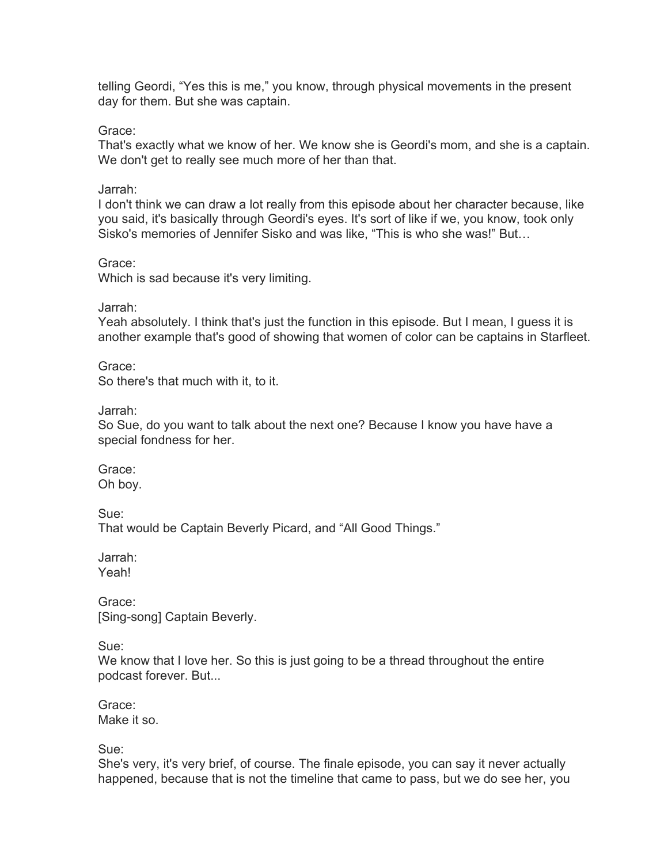telling Geordi, "Yes this is me," you know, through physical movements in the present day for them. But she was captain.

Grace:

That's exactly what we know of her. We know she is Geordi's mom, and she is a captain. We don't get to really see much more of her than that.

Jarrah:

I don't think we can draw a lot really from this episode about her character because, like you said, it's basically through Geordi's eyes. It's sort of like if we, you know, took only Sisko's memories of Jennifer Sisko and was like, "This is who she was!" But…

Grace:

Which is sad because it's very limiting.

Jarrah:

Yeah absolutely. I think that's just the function in this episode. But I mean, I guess it is another example that's good of showing that women of color can be captains in Starfleet.

Grace: So there's that much with it, to it.

Jarrah:

So Sue, do you want to talk about the next one? Because I know you have have a special fondness for her.

Grace: Oh boy.

Sue: That would be Captain Beverly Picard, and "All Good Things."

Jarrah: Yeah!

Grace: [Sing-song] Captain Beverly.

Sue:

We know that I love her. So this is just going to be a thread throughout the entire podcast forever. But...

Grace: Make it so.

Sue:

She's very, it's very brief, of course. The finale episode, you can say it never actually happened, because that is not the timeline that came to pass, but we do see her, you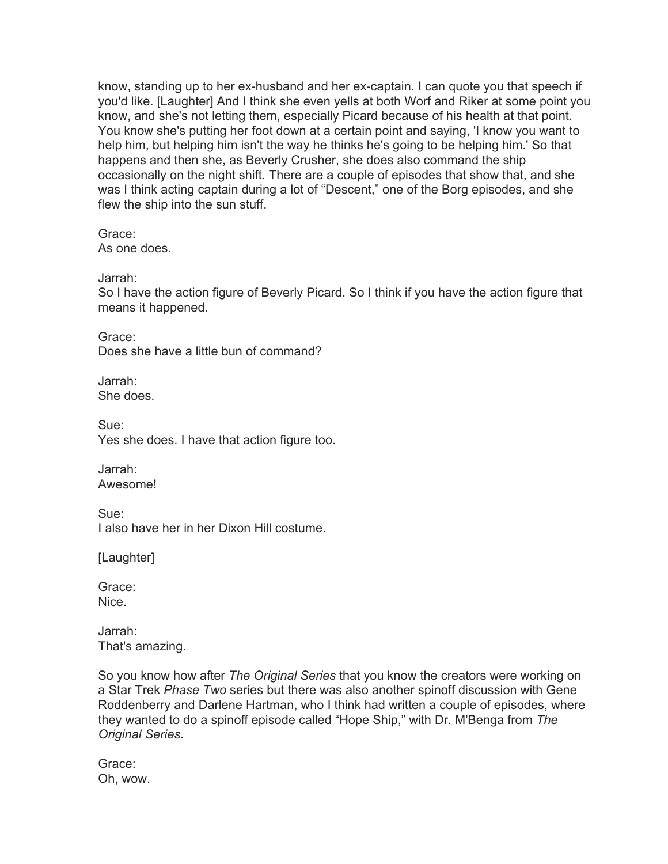know, standing up to her ex-husband and her ex-captain. I can quote you that speech if you'd like. [Laughter] And I think she even yells at both Worf and Riker at some point you know, and she's not letting them, especially Picard because of his health at that point. You know she's putting her foot down at a certain point and saying, 'I know you want to help him, but helping him isn't the way he thinks he's going to be helping him.' So that happens and then she, as Beverly Crusher, she does also command the ship occasionally on the night shift. There are a couple of episodes that show that, and she was I think acting captain during a lot of "Descent," one of the Borg episodes, and she flew the ship into the sun stuff.

Grace: As one does.

Jarrah:

So I have the action figure of Beverly Picard. So I think if you have the action figure that means it happened.

Grace: Does she have a little bun of command?

Jarrah: She does.

Sue: Yes she does. I have that action figure too.

Jarrah: Awesome!

Sue: I also have her in her Dixon Hill costume.

[Laughter]

Grace: Nice.

Jarrah: That's amazing.

So you know how after *The Original Series* that you know the creators were working on a Star Trek *Phase Two* series but there was also another spinoff discussion with Gene Roddenberry and Darlene Hartman, who I think had written a couple of episodes, where they wanted to do a spinoff episode called "Hope Ship," with Dr. M'Benga from *The Original Series*.

Grace: Oh, wow.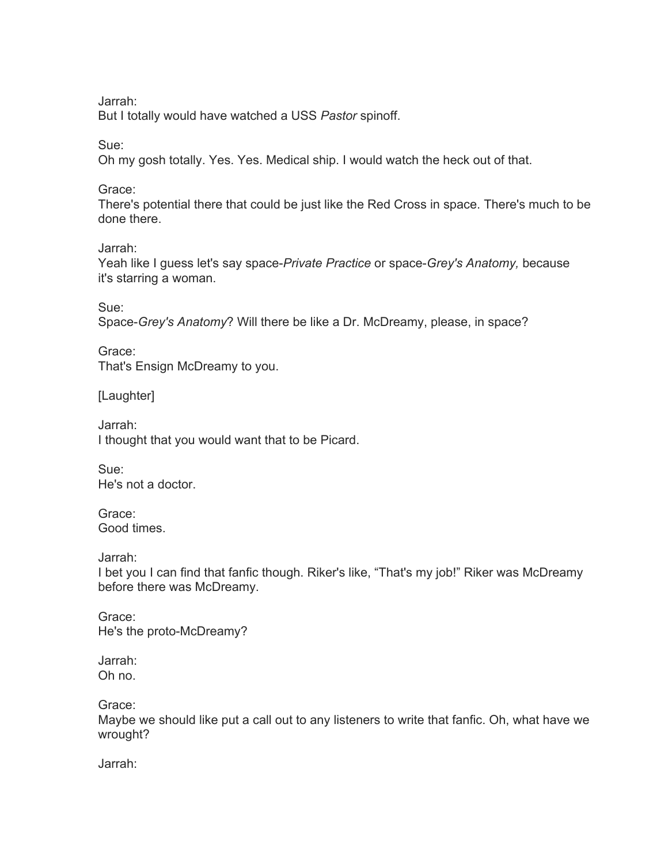Jarrah:

But I totally would have watched a USS *Pastor* spinoff.

Sue:

Oh my gosh totally. Yes. Yes. Medical ship. I would watch the heck out of that.

Grace:

There's potential there that could be just like the Red Cross in space. There's much to be done there.

Jarrah:

Yeah like I guess let's say space-*Private Practice* or space-*Grey's Anatomy,* because it's starring a woman.

Sue:

Space-*Grey's Anatomy*? Will there be like a Dr. McDreamy, please, in space?

Grace: That's Ensign McDreamy to you.

[Laughter]

Jarrah: I thought that you would want that to be Picard.

Sue: He's not a doctor.

Grace: Good times.

Jarrah:

I bet you I can find that fanfic though. Riker's like, "That's my job!" Riker was McDreamy before there was McDreamy.

Grace: He's the proto-McDreamy?

Jarrah: Oh no.

Grace:

Maybe we should like put a call out to any listeners to write that fanfic. Oh, what have we wrought?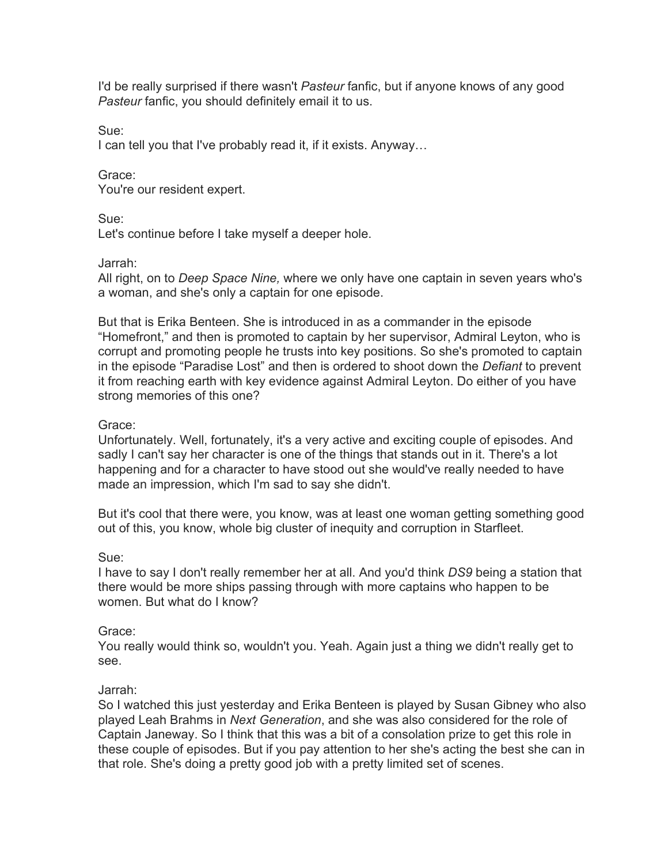I'd be really surprised if there wasn't *Pasteur* fanfic, but if anyone knows of any good *Pasteur* fanfic, you should definitely email it to us.

Sue:

I can tell you that I've probably read it, if it exists. Anyway…

Grace: You're our resident expert.

Sue:

Let's continue before I take myself a deeper hole.

Jarrah:

All right, on to *Deep Space Nine,* where we only have one captain in seven years who's a woman, and she's only a captain for one episode.

But that is Erika Benteen. She is introduced in as a commander in the episode "Homefront," and then is promoted to captain by her supervisor, Admiral Leyton, who is corrupt and promoting people he trusts into key positions. So she's promoted to captain in the episode "Paradise Lost" and then is ordered to shoot down the *Defiant* to prevent it from reaching earth with key evidence against Admiral Leyton. Do either of you have strong memories of this one?

# Grace:

Unfortunately. Well, fortunately, it's a very active and exciting couple of episodes. And sadly I can't say her character is one of the things that stands out in it. There's a lot happening and for a character to have stood out she would've really needed to have made an impression, which I'm sad to say she didn't.

But it's cool that there were, you know, was at least one woman getting something good out of this, you know, whole big cluster of inequity and corruption in Starfleet.

# Sue:

I have to say I don't really remember her at all. And you'd think *DS9* being a station that there would be more ships passing through with more captains who happen to be women. But what do I know?

# Grace:

You really would think so, wouldn't you. Yeah. Again just a thing we didn't really get to see.

# Jarrah:

So I watched this just yesterday and Erika Benteen is played by Susan Gibney who also played Leah Brahms in *Next Generation*, and she was also considered for the role of Captain Janeway. So I think that this was a bit of a consolation prize to get this role in these couple of episodes. But if you pay attention to her she's acting the best she can in that role. She's doing a pretty good job with a pretty limited set of scenes.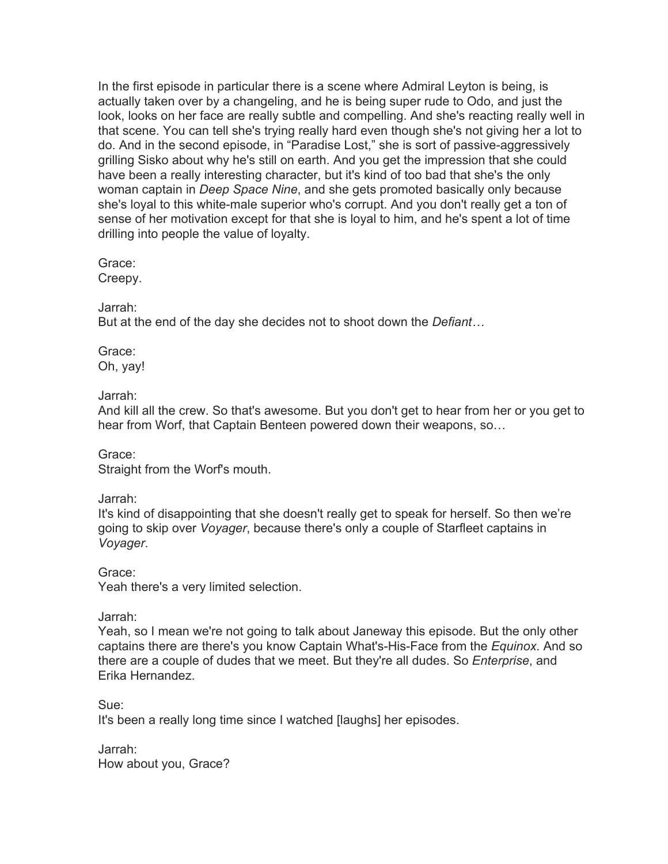In the first episode in particular there is a scene where Admiral Leyton is being, is actually taken over by a changeling, and he is being super rude to Odo, and just the look, looks on her face are really subtle and compelling. And she's reacting really well in that scene. You can tell she's trying really hard even though she's not giving her a lot to do. And in the second episode, in "Paradise Lost," she is sort of passive-aggressively grilling Sisko about why he's still on earth. And you get the impression that she could have been a really interesting character, but it's kind of too bad that she's the only woman captain in *Deep Space Nine*, and she gets promoted basically only because she's loyal to this white-male superior who's corrupt. And you don't really get a ton of sense of her motivation except for that she is loyal to him, and he's spent a lot of time drilling into people the value of loyalty.

Grace:

Creepy.

Jarrah:

But at the end of the day she decides not to shoot down the *Defiant…*

Grace: Oh, yay!

### Jarrah:

And kill all the crew. So that's awesome. But you don't get to hear from her or you get to hear from Worf, that Captain Benteen powered down their weapons, so…

Grace: Straight from the Worf's mouth.

Jarrah:

It's kind of disappointing that she doesn't really get to speak for herself. So then we're going to skip over *Voyager*, because there's only a couple of Starfleet captains in *Voyager*.

Grace:

Yeah there's a very limited selection.

Jarrah:

Yeah, so I mean we're not going to talk about Janeway this episode. But the only other captains there are there's you know Captain What's-His-Face from the *Equinox*. And so there are a couple of dudes that we meet. But they're all dudes. So *Enterprise*, and Erika Hernandez.

Sue:

It's been a really long time since I watched [laughs] her episodes.

Jarrah: How about you, Grace?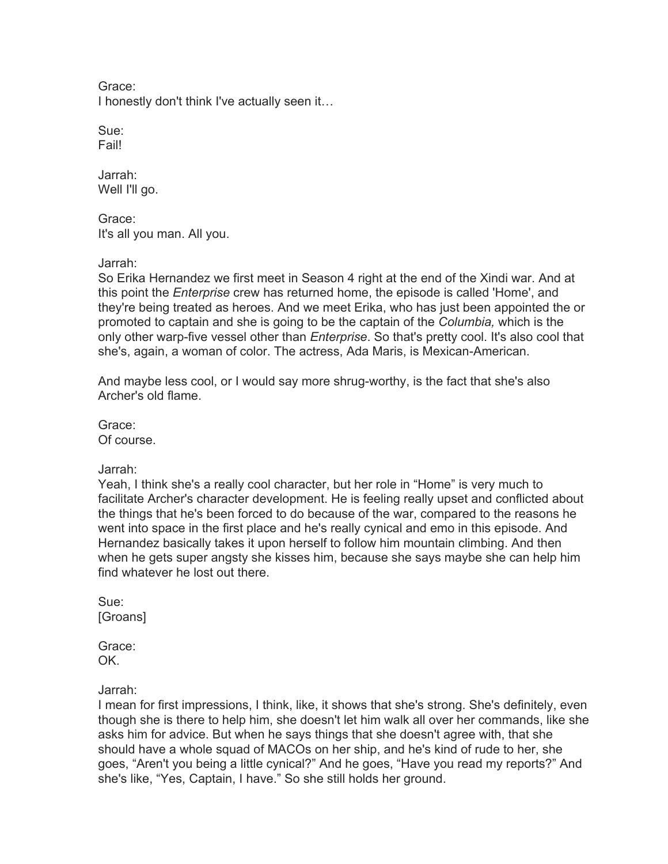Grace: I honestly don't think I've actually seen it…

Sue: Fail!

Jarrah: Well I'll go.

Grace: It's all you man. All you.

#### Jarrah:

So Erika Hernandez we first meet in Season 4 right at the end of the Xindi war. And at this point the *Enterprise* crew has returned home, the episode is called 'Home', and they're being treated as heroes. And we meet Erika, who has just been appointed the or promoted to captain and she is going to be the captain of the *Columbia,* which is the only other warp-five vessel other than *Enterprise*. So that's pretty cool. It's also cool that she's, again, a woman of color. The actress, Ada Maris, is Mexican-American.

And maybe less cool, or I would say more shrug-worthy, is the fact that she's also Archer's old flame.

Grace: Of course.

Jarrah:

Yeah, I think she's a really cool character, but her role in "Home" is very much to facilitate Archer's character development. He is feeling really upset and conflicted about the things that he's been forced to do because of the war, compared to the reasons he went into space in the first place and he's really cynical and emo in this episode. And Hernandez basically takes it upon herself to follow him mountain climbing. And then when he gets super angsty she kisses him, because she says maybe she can help him find whatever he lost out there.

Sue: [Groans]

Grace: OK.

Jarrah:

I mean for first impressions, I think, like, it shows that she's strong. She's definitely, even though she is there to help him, she doesn't let him walk all over her commands, like she asks him for advice. But when he says things that she doesn't agree with, that she should have a whole squad of MACOs on her ship, and he's kind of rude to her, she goes, "Aren't you being a little cynical?" And he goes, "Have you read my reports?" And she's like, "Yes, Captain, I have." So she still holds her ground.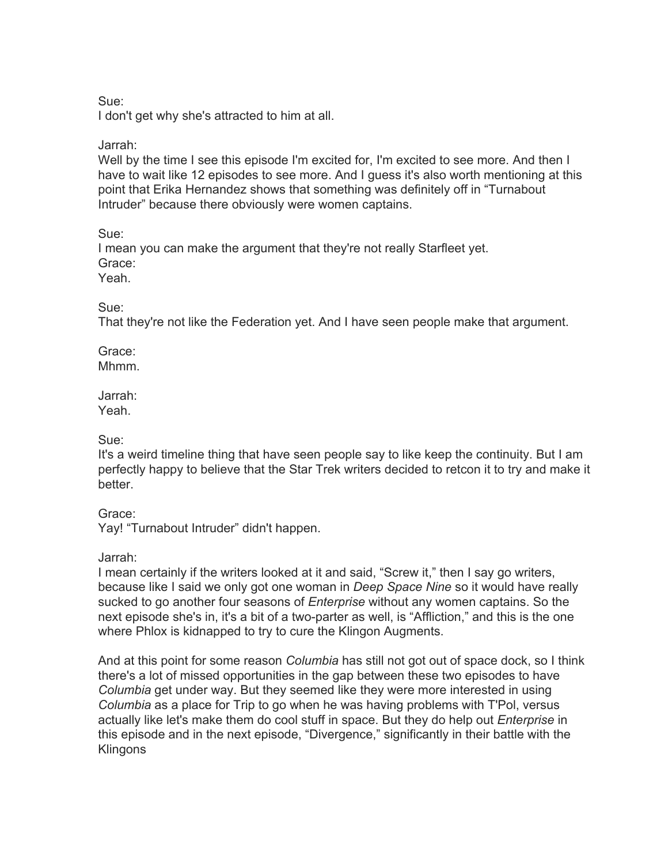Sue:

I don't get why she's attracted to him at all.

Jarrah:

Well by the time I see this episode I'm excited for, I'm excited to see more. And then I have to wait like 12 episodes to see more. And I guess it's also worth mentioning at this point that Erika Hernandez shows that something was definitely off in "Turnabout Intruder" because there obviously were women captains.

Sue:

I mean you can make the argument that they're not really Starfleet yet. Grace: Yeah.

Sue:

That they're not like the Federation yet. And I have seen people make that argument.

Grace: Mhmm.

Jarrah:

Yeah.

Sue:

It's a weird timeline thing that have seen people say to like keep the continuity. But I am perfectly happy to believe that the Star Trek writers decided to retcon it to try and make it better.

Grace:

Yay! "Turnabout Intruder" didn't happen.

Jarrah:

I mean certainly if the writers looked at it and said, "Screw it," then I say go writers, because like I said we only got one woman in *Deep Space Nine* so it would have really sucked to go another four seasons of *Enterprise* without any women captains. So the next episode she's in, it's a bit of a two-parter as well, is "Affliction," and this is the one where Phlox is kidnapped to try to cure the Klingon Augments.

And at this point for some reason *Columbia* has still not got out of space dock, so I think there's a lot of missed opportunities in the gap between these two episodes to have *Columbia* get under way. But they seemed like they were more interested in using *Columbia* as a place for Trip to go when he was having problems with T'Pol, versus actually like let's make them do cool stuff in space. But they do help out *Enterprise* in this episode and in the next episode, "Divergence," significantly in their battle with the **Klingons**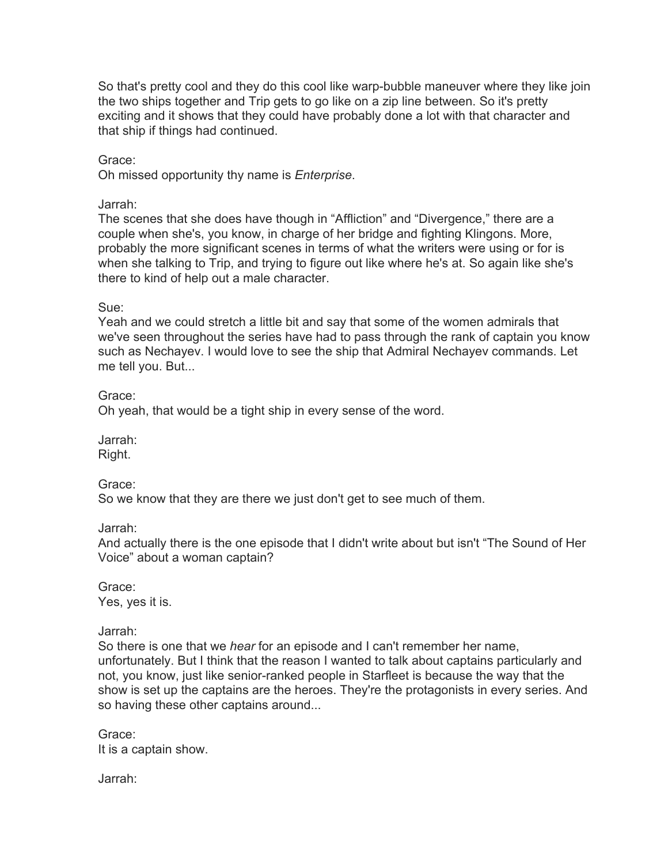So that's pretty cool and they do this cool like warp-bubble maneuver where they like join the two ships together and Trip gets to go like on a zip line between. So it's pretty exciting and it shows that they could have probably done a lot with that character and that ship if things had continued.

Grace:

Oh missed opportunity thy name is *Enterprise*.

Jarrah:

The scenes that she does have though in "Affliction" and "Divergence," there are a couple when she's, you know, in charge of her bridge and fighting Klingons. More, probably the more significant scenes in terms of what the writers were using or for is when she talking to Trip, and trying to figure out like where he's at. So again like she's there to kind of help out a male character.

Sue:

Yeah and we could stretch a little bit and say that some of the women admirals that we've seen throughout the series have had to pass through the rank of captain you know such as Nechayev. I would love to see the ship that Admiral Nechayev commands. Let me tell you. But...

Grace:

Oh yeah, that would be a tight ship in every sense of the word.

Jarrah:

Right.

Grace:

So we know that they are there we just don't get to see much of them.

Jarrah:

And actually there is the one episode that I didn't write about but isn't "The Sound of Her Voice" about a woman captain?

Grace: Yes, yes it is.

Jarrah:

So there is one that we *hear* for an episode and I can't remember her name, unfortunately. But I think that the reason I wanted to talk about captains particularly and not, you know, just like senior-ranked people in Starfleet is because the way that the show is set up the captains are the heroes. They're the protagonists in every series. And so having these other captains around...

Grace: It is a captain show.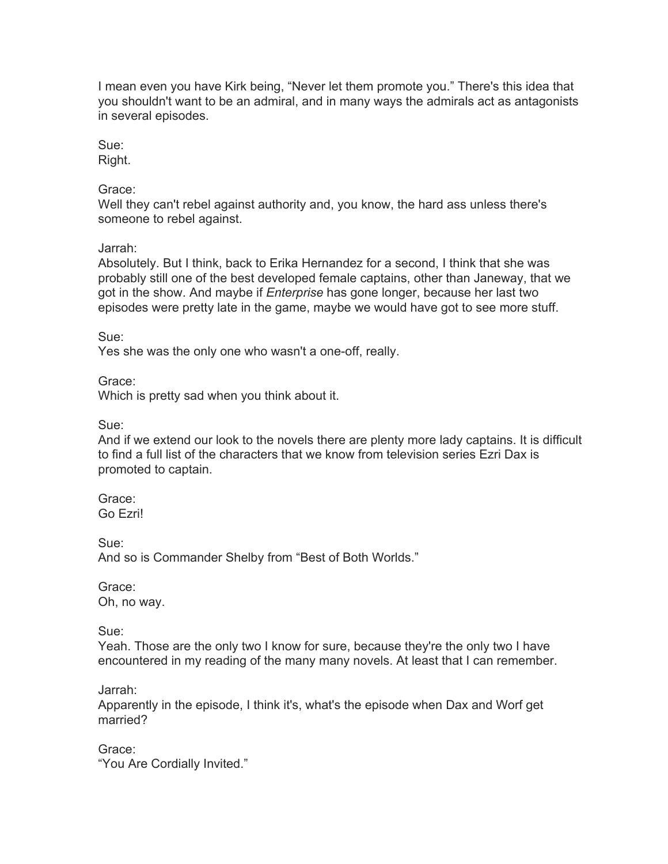I mean even you have Kirk being, "Never let them promote you." There's this idea that you shouldn't want to be an admiral, and in many ways the admirals act as antagonists in several episodes.

Sue:

Right.

## Grace:

Well they can't rebel against authority and, you know, the hard ass unless there's someone to rebel against.

# Jarrah:

Absolutely. But I think, back to Erika Hernandez for a second, I think that she was probably still one of the best developed female captains, other than Janeway, that we got in the show. And maybe if *Enterprise* has gone longer, because her last two episodes were pretty late in the game, maybe we would have got to see more stuff.

Sue:

Yes she was the only one who wasn't a one-off, really.

Grace:

Which is pretty sad when you think about it.

Sue:

And if we extend our look to the novels there are plenty more lady captains. It is difficult to find a full list of the characters that we know from television series Ezri Dax is promoted to captain.

Grace: Go Ezri!

Sue:

And so is Commander Shelby from "Best of Both Worlds."

Grace: Oh, no way.

Sue:

Yeah. Those are the only two I know for sure, because they're the only two I have encountered in my reading of the many many novels. At least that I can remember.

Jarrah:

Apparently in the episode, I think it's, what's the episode when Dax and Worf get married?

Grace: "You Are Cordially Invited."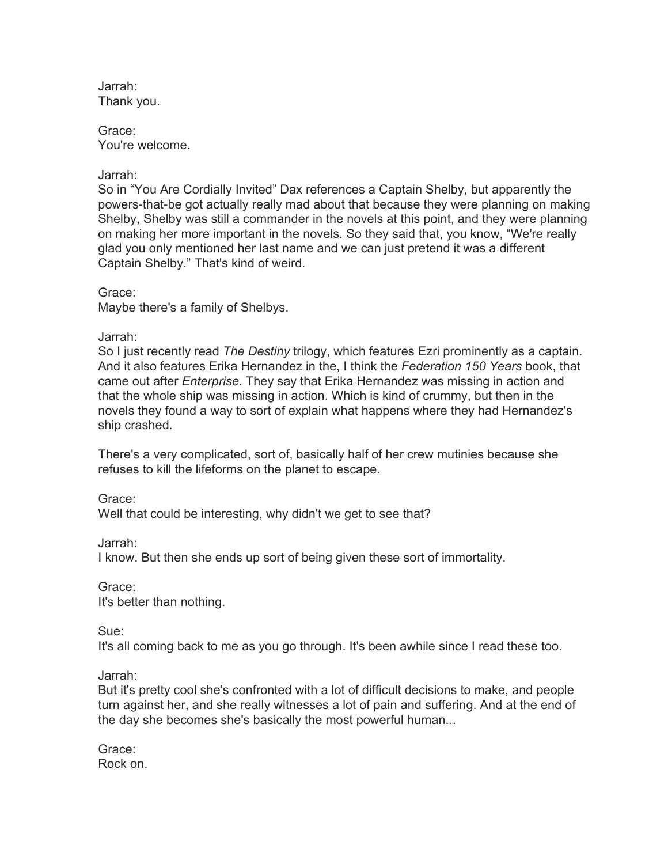Jarrah: Thank you.

Grace: You're welcome.

Jarrah:

So in "You Are Cordially Invited" Dax references a Captain Shelby, but apparently the powers-that-be got actually really mad about that because they were planning on making Shelby, Shelby was still a commander in the novels at this point, and they were planning on making her more important in the novels. So they said that, you know, "We're really glad you only mentioned her last name and we can just pretend it was a different Captain Shelby." That's kind of weird.

Grace:

Maybe there's a family of Shelbys.

Jarrah:

So I just recently read *The Destiny* trilogy, which features Ezri prominently as a captain. And it also features Erika Hernandez in the, I think the *Federation 150 Years* book, that came out after *Enterprise*. They say that Erika Hernandez was missing in action and that the whole ship was missing in action. Which is kind of crummy, but then in the novels they found a way to sort of explain what happens where they had Hernandez's ship crashed.

There's a very complicated, sort of, basically half of her crew mutinies because she refuses to kill the lifeforms on the planet to escape.

Grace:

Well that could be interesting, why didn't we get to see that?

Jarrah:

I know. But then she ends up sort of being given these sort of immortality.

Grace:

It's better than nothing.

Sue:

It's all coming back to me as you go through. It's been awhile since I read these too.

Jarrah:

But it's pretty cool she's confronted with a lot of difficult decisions to make, and people turn against her, and she really witnesses a lot of pain and suffering. And at the end of the day she becomes she's basically the most powerful human...

Grace: Rock on.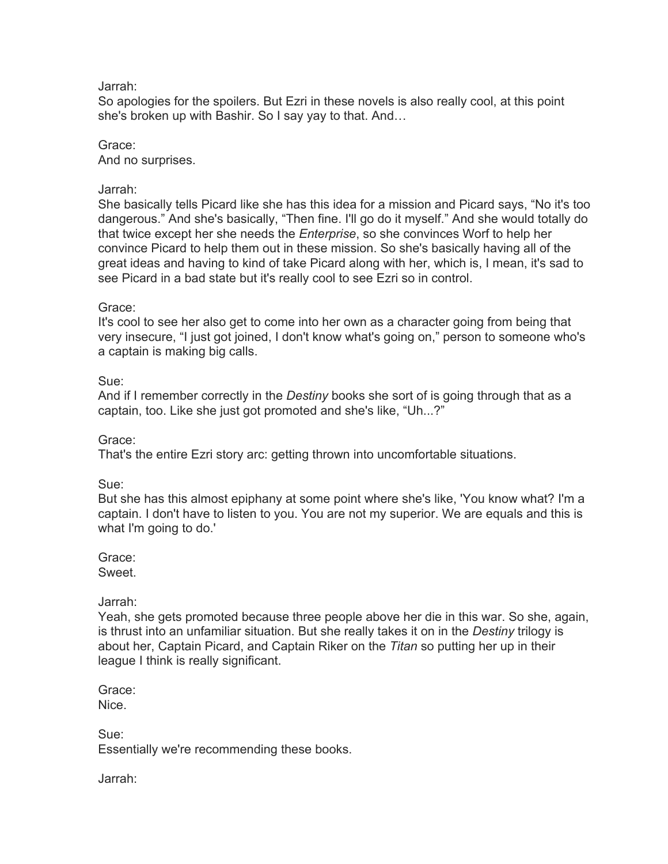#### Jarrah:

So apologies for the spoilers. But Ezri in these novels is also really cool, at this point she's broken up with Bashir. So I say yay to that. And…

#### Grace: And no surprises.

## Jarrah:

She basically tells Picard like she has this idea for a mission and Picard says, "No it's too dangerous." And she's basically, "Then fine. I'll go do it myself." And she would totally do that twice except her she needs the *Enterprise*, so she convinces Worf to help her convince Picard to help them out in these mission. So she's basically having all of the great ideas and having to kind of take Picard along with her, which is, I mean, it's sad to see Picard in a bad state but it's really cool to see Ezri so in control.

### Grace:

It's cool to see her also get to come into her own as a character going from being that very insecure, "I just got joined, I don't know what's going on," person to someone who's a captain is making big calls.

### Sue:

And if I remember correctly in the *Destiny* books she sort of is going through that as a captain, too. Like she just got promoted and she's like, "Uh...?"

#### Grace:

That's the entire Ezri story arc: getting thrown into uncomfortable situations.

# Sue:

But she has this almost epiphany at some point where she's like, 'You know what? I'm a captain. I don't have to listen to you. You are not my superior. We are equals and this is what I'm going to do.'

# Grace:

Sweet.

# Jarrah:

Yeah, she gets promoted because three people above her die in this war. So she, again, is thrust into an unfamiliar situation. But she really takes it on in the *Destiny* trilogy is about her, Captain Picard, and Captain Riker on the *Titan* so putting her up in their league I think is really significant.

Grace: Nice.

Sue: Essentially we're recommending these books.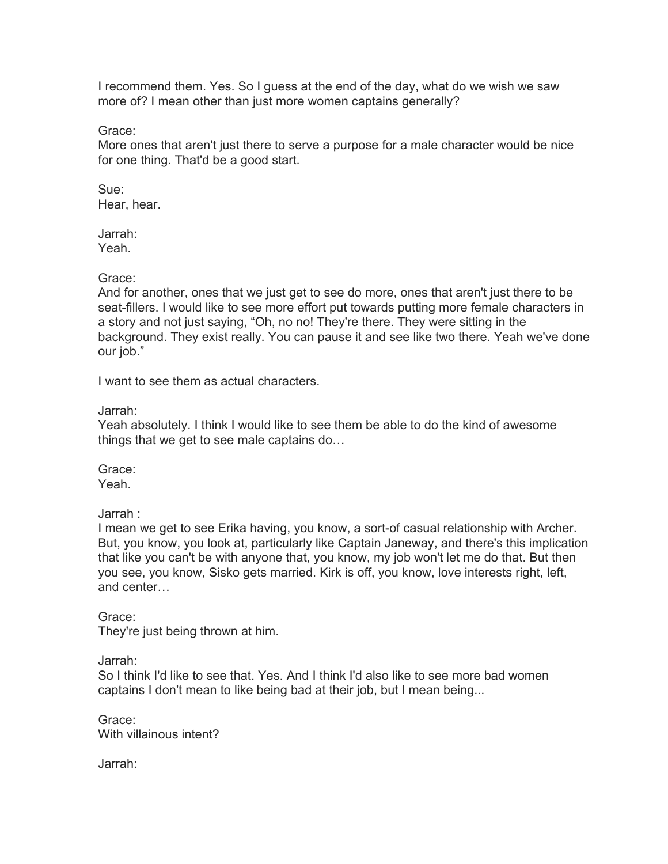I recommend them. Yes. So I guess at the end of the day, what do we wish we saw more of? I mean other than just more women captains generally?

Grace:

More ones that aren't just there to serve a purpose for a male character would be nice for one thing. That'd be a good start.

Sue: Hear, hear.

Jarrah: Yeah.

Grace:

And for another, ones that we just get to see do more, ones that aren't just there to be seat-fillers. I would like to see more effort put towards putting more female characters in a story and not just saying, "Oh, no no! They're there. They were sitting in the background. They exist really. You can pause it and see like two there. Yeah we've done our job."

I want to see them as actual characters.

Jarrah:

Yeah absolutely. I think I would like to see them be able to do the kind of awesome things that we get to see male captains do…

Grace: Yeah.

Jarrah :

I mean we get to see Erika having, you know, a sort-of casual relationship with Archer. But, you know, you look at, particularly like Captain Janeway, and there's this implication that like you can't be with anyone that, you know, my job won't let me do that. But then you see, you know, Sisko gets married. Kirk is off, you know, love interests right, left, and center…

Grace: They're just being thrown at him.

Jarrah:

So I think I'd like to see that. Yes. And I think I'd also like to see more bad women captains I don't mean to like being bad at their job, but I mean being...

Grace: With villainous intent?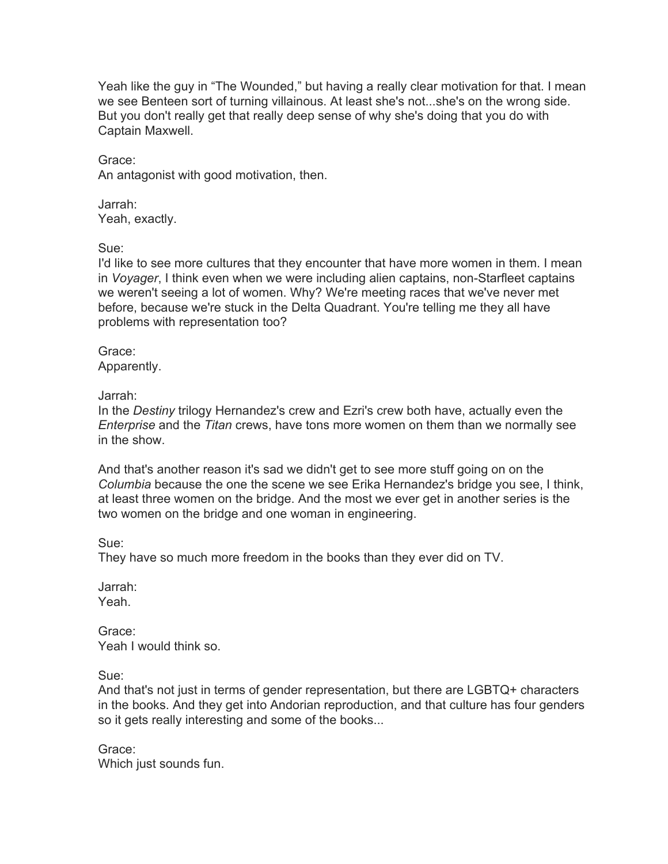Yeah like the guy in "The Wounded," but having a really clear motivation for that. I mean we see Benteen sort of turning villainous. At least she's not...she's on the wrong side. But you don't really get that really deep sense of why she's doing that you do with Captain Maxwell.

Grace: An antagonist with good motivation, then.

Jarrah: Yeah, exactly.

Sue:

I'd like to see more cultures that they encounter that have more women in them. I mean in *Voyager*, I think even when we were including alien captains, non-Starfleet captains we weren't seeing a lot of women. Why? We're meeting races that we've never met before, because we're stuck in the Delta Quadrant. You're telling me they all have problems with representation too?

Grace: Apparently.

Jarrah:

In the *Destiny* trilogy Hernandez's crew and Ezri's crew both have, actually even the *Enterprise* and the *Titan* crews, have tons more women on them than we normally see in the show.

And that's another reason it's sad we didn't get to see more stuff going on on the *Columbia* because the one the scene we see Erika Hernandez's bridge you see, I think, at least three women on the bridge. And the most we ever get in another series is the two women on the bridge and one woman in engineering.

Sue:

They have so much more freedom in the books than they ever did on TV.

Jarrah: Yeah.

Grace: Yeah I would think so.

Sue:

And that's not just in terms of gender representation, but there are LGBTQ+ characters in the books. And they get into Andorian reproduction, and that culture has four genders so it gets really interesting and some of the books...

Grace: Which just sounds fun.